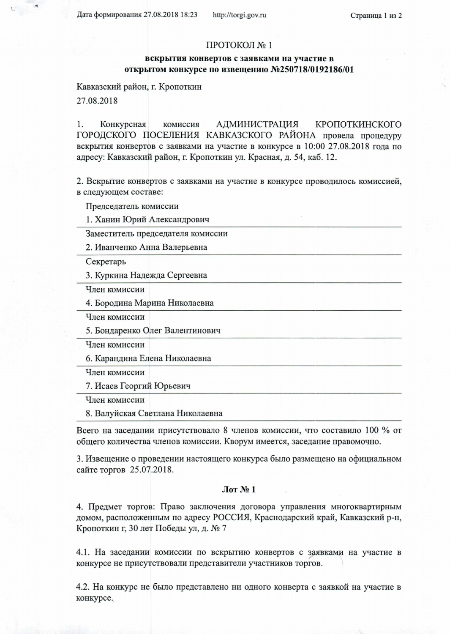Дата формирования 27.08.2018 18:23

## ПРОТОКОЛ № 1

## вскрытия конвертов с заявками на участие в открытом конкурсе по извещению №250718/0192186/01

Кавказский район, г. Кропоткин

27.08.2018

Конкурсная **АДМИНИСТРАЦИЯ** 1. комиссия КРОПОТКИНСКОГО ГОРОДСКОГО ПОСЕЛЕНИЯ КАВКАЗСКОГО РАЙОНА провела процедуру вскрытия конвертов с заявками на участие в конкурсе в 10:00 27.08.2018 года по адресу: Кавказский район, г. Кропоткин ул. Красная, д. 54, каб. 12.

2. Вскрытие конвертов с заявками на участие в конкурсе проводилось комиссией, в следующем составе:

Председатель комиссии

1. Ханин Юрий Александрович

Заместитель председателя комиссии

2. Иванченко Анна Валерьевна

Секретарь

3. Куркина Надежда Сергеевна

Член комиссии

4. Бородина Марина Николаевна

Член комиссии

5. Бондаренко Олег Валентинович

Член комиссии

6. Карандина Елена Николаевна

Член комиссии

7. Исаев Георгий Юрьевич

Член комиссии

8. Валуйская Светлана Николаевна

Всего на заседании присутствовало 8 членов комиссии, что составило 100 % от общего количества членов комиссии. Кворум имеется, заседание правомочно.

3. Извещение о проведении настоящего конкурса было размещено на официальном сайте торгов 25.07.2018.

## $\pi N_2 1$

4. Предмет торгов: Право заключения договора управления многоквартирным домом, расположенным по адресу РОССИЯ, Краснодарский край, Кавказский р-н, Кропоткин г, 30 лет Победы ул, д. № 7

4.1. На заседании комиссии по вскрытию конвертов с заявками на участие в конкурсе не присутствовали представители участников торгов.

4.2. На конкурс не было представлено ни одного конверта с заявкой на участие в конкурсе.